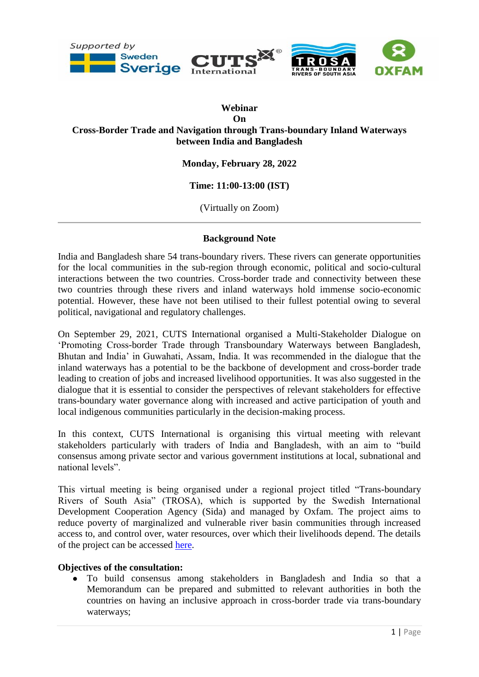

# **Webinar On Cross-Border Trade and Navigation through Trans-boundary Inland Waterways between India and Bangladesh**

# **Monday, February 28, 2022**

### **Time: 11:00-13:00 (IST)**

(Virtually on Zoom)

#### **Background Note**

India and Bangladesh share 54 trans-boundary rivers. These rivers can generate opportunities for the local communities in the sub-region through economic, political and socio-cultural interactions between the two countries. Cross-border trade and connectivity between these two countries through these rivers and inland waterways hold immense socio-economic potential. However, these have not been utilised to their fullest potential owing to several political, navigational and regulatory challenges.

On September 29, 2021, CUTS International organised a Multi-Stakeholder Dialogue on 'Promoting Cross-border Trade through Transboundary Waterways between Bangladesh, Bhutan and India' in Guwahati, Assam, India. It was recommended in the dialogue that the inland waterways has a potential to be the backbone of development and cross-border trade leading to creation of jobs and increased livelihood opportunities. It was also suggested in the dialogue that it is essential to consider the perspectives of relevant stakeholders for effective trans-boundary water governance along with increased and active participation of youth and local indigenous communities particularly in the decision-making process.

In this context, CUTS International is organising this virtual meeting with relevant stakeholders particularly with traders of India and Bangladesh, with an aim to "build consensus among private sector and various government institutions at local, subnational and national levels".

This virtual meeting is being organised under a regional project titled "Trans-boundary Rivers of South Asia" (TROSA), which is supported by the Swedish International Development Cooperation Agency (Sida) and managed by Oxfam. The project aims to reduce poverty of marginalized and vulnerable river basin communities through increased access to, and control over, water resources, over which their livelihoods depend. The details of the project can be accessed [here.](https://cuts-citee.org/trans-boundary-rivers-of-south-asia-trosa/)

#### **Objectives of the consultation:**

● To build consensus among stakeholders in Bangladesh and India so that a Memorandum can be prepared and submitted to relevant authorities in both the countries on having an inclusive approach in cross-border trade via trans-boundary waterways;